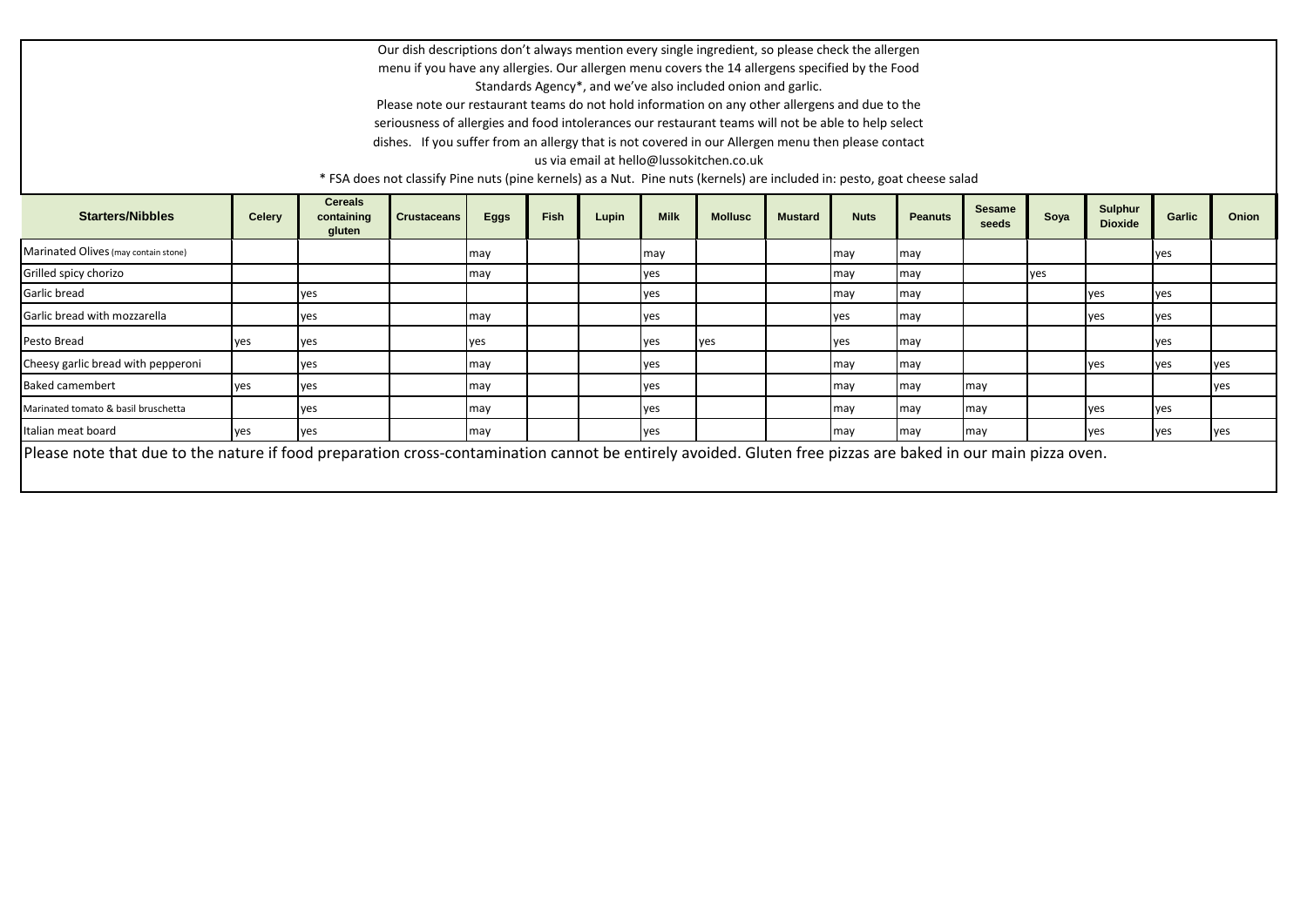Our dish descriptions don't always mention every single ingredient, so please check the allergen menu if you have any allergies. Our allergen menu covers the 14 allergens specified by the Food Standards Agency\*, and we've also included onion and garlic.

Please note our restaurant teams do not hold information on any other allergens and due to the seriousness of allergies and food intolerances our restaurant teams will not be able to help select dishes. If you suffer from an allergy that is not covered in our Allergen menu then please contact

us via email at hello@lussokitchen.co.uk

\* FSA does not classify Pine nuts (pine kernels) as a Nut. Pine nuts (kernels) are included in: pesto, goat cheese salad

| <b>Starters/Nibbles</b>                                                                                                                                     | <b>Celery</b> | <b>Cereals</b><br>containing<br>gluten | <b>Crustaceans</b> | <b>Eggs</b> | <b>Fish</b> | Lupin | <b>Milk</b> | <b>Mollusc</b> | <b>Mustard</b> | <b>Nuts</b> | <b>Peanuts</b> | <b>Sesame</b><br>seeds | Soya | <b>Sulphur</b><br><b>Dioxide</b> | Garlic | <b>Onion</b> |
|-------------------------------------------------------------------------------------------------------------------------------------------------------------|---------------|----------------------------------------|--------------------|-------------|-------------|-------|-------------|----------------|----------------|-------------|----------------|------------------------|------|----------------------------------|--------|--------------|
| Marinated Olives (may contain stone)                                                                                                                        |               |                                        |                    | may         |             |       | may         |                |                | may         | may            |                        |      |                                  | yes    |              |
| Grilled spicy chorizo                                                                                                                                       |               |                                        |                    | may         |             |       | ves         |                |                | may         | may            |                        | ves  |                                  |        |              |
| Garlic bread                                                                                                                                                |               | ves                                    |                    |             |             |       | ves         |                |                | may         | may            |                        |      | ves                              | ves    |              |
| Garlic bread with mozzarella                                                                                                                                |               | yes                                    |                    | may         |             |       | yes         |                |                | ves         | may            |                        |      | yes                              | yes    |              |
| Pesto Bread                                                                                                                                                 | ves           | ves                                    |                    | yes         |             |       | yes         | <b>I</b> ves   |                | yes.        | may            |                        |      |                                  | yes    |              |
| Cheesy garlic bread with pepperoni                                                                                                                          |               | ves                                    |                    | may         |             |       | ves         |                |                | may         | may            |                        |      | ves                              | ves    | yes          |
| <b>Baked camembert</b>                                                                                                                                      | yes           | yes                                    |                    | may         |             |       | yes         |                |                | may         | may            | may                    |      |                                  |        | yes          |
| Marinated tomato & basil bruschetta                                                                                                                         |               | ves                                    |                    | may         |             |       | ves         |                |                | may         | may            | may                    |      | ves                              | ves    |              |
| Italian meat board                                                                                                                                          | ves           | ves                                    |                    | may         |             |       | ves         |                |                | may         | may            | may                    |      | ves                              | ves    | yes          |
| Please note that due to the nature if food preparation cross-contamination cannot be entirely avoided. Gluten free pizzas are baked in our main pizza oven. |               |                                        |                    |             |             |       |             |                |                |             |                |                        |      |                                  |        |              |